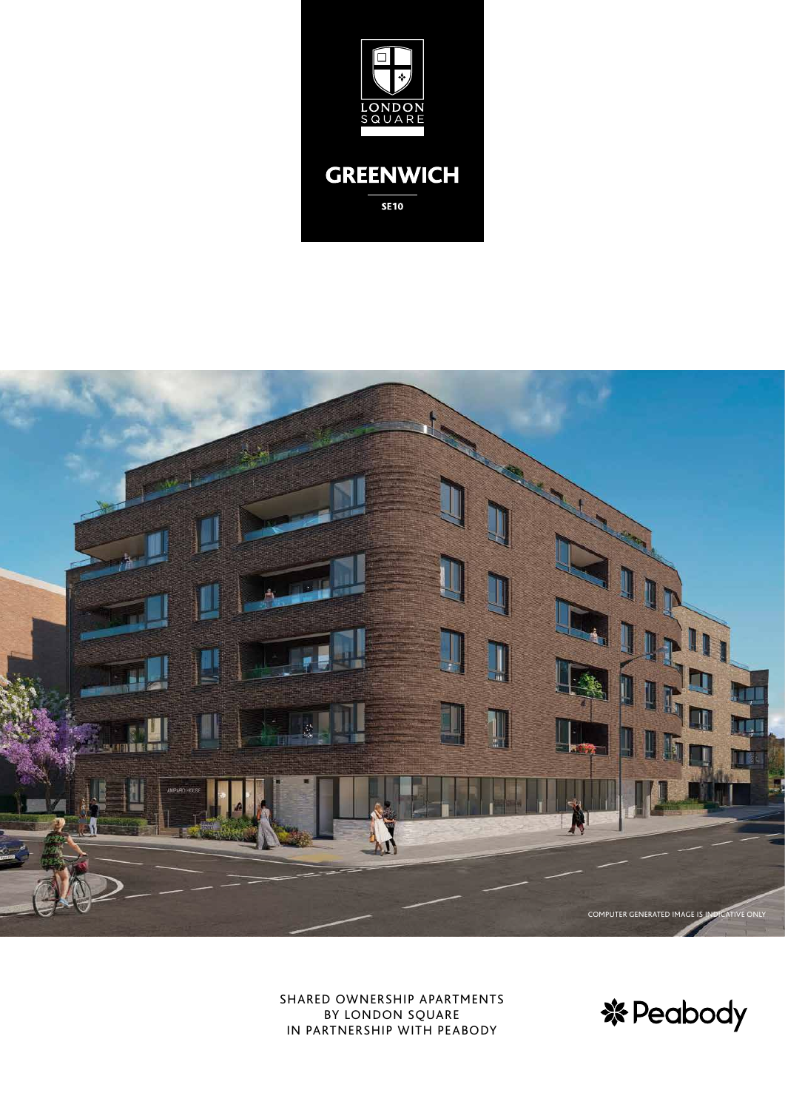



SHARED OWNERSHIP APARTMENTS BY LONDON SQUARE IN PARTNERSHIP WITH PEABODY

**※Peabody**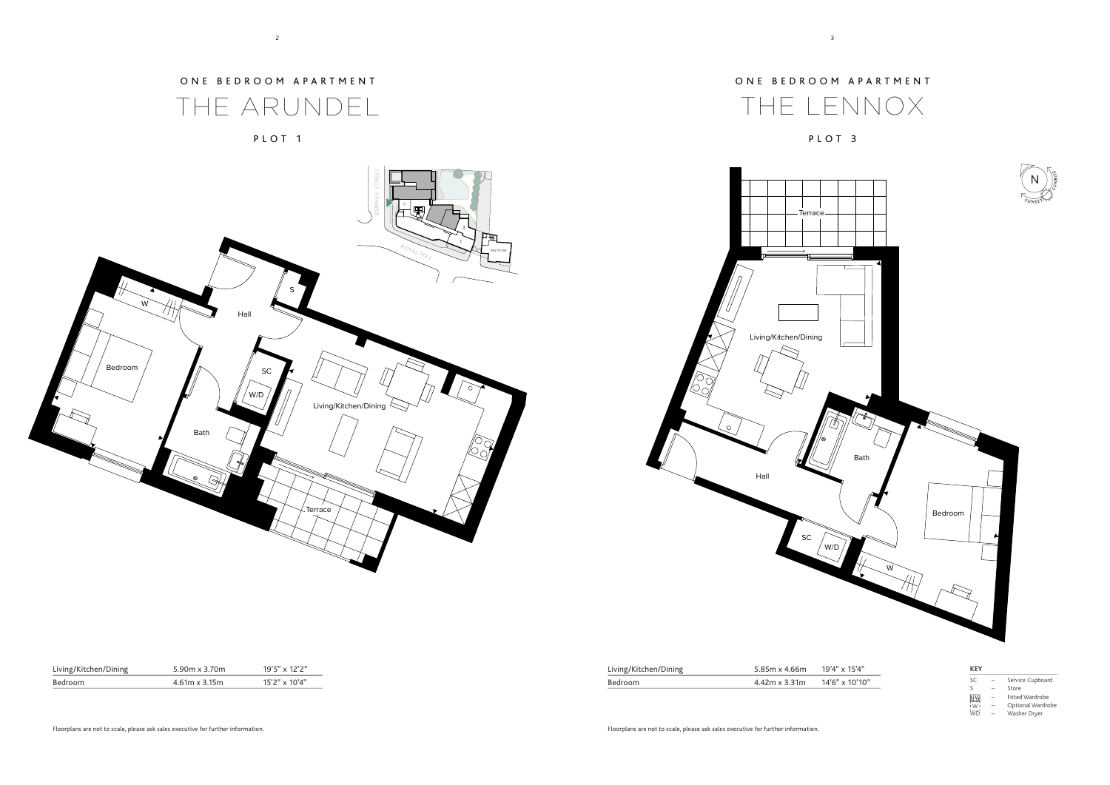| <b>KEY</b> |   |                   |
|------------|---|-------------------|
| <b>SC</b>  |   | Service Cupboard  |
| ς          |   | Store             |
| 画          | - | Fitted Wardrobe   |
| i Wi       | - | Optional Wardrobe |
| <b>WD</b>  |   | Washer Dryer      |



ONE BEDROOM APARTMENT

THE ARUNDEL



PLOT 3

# ONE BEDROOM APARTMENT

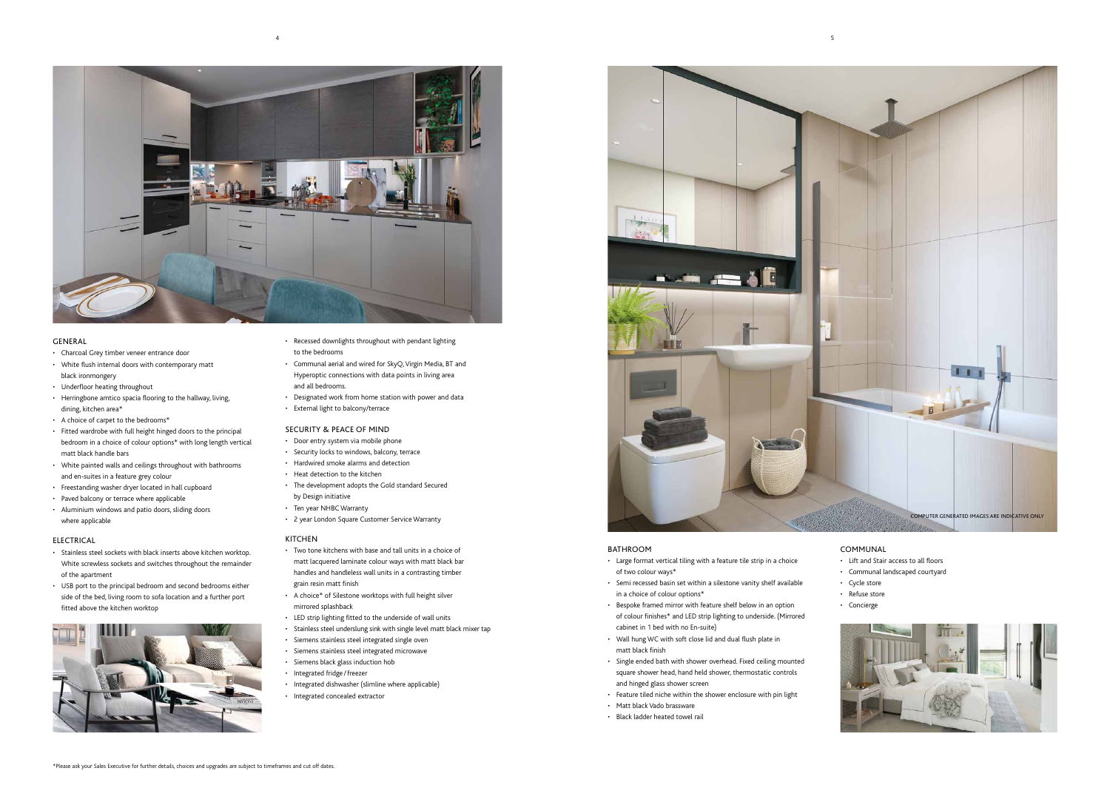

## GENERAL

- • Charcoal Grey timber veneer entrance door
- • White flush internal doors with contemporary matt black ironmongery
- • Underfloor heating throughout
- • Herringbone amtico spacia flooring to the hallway, living, dining, kitchen area\*
- • A choice of carpet to the bedrooms\*
- • Fitted wardrobe with full height hinged doors to the principal bedroom in a choice of colour options\* with long length vertical matt black handle bars
- White painted walls and ceilings throughout with bathrooms and en-suites in a feature grey colour
- • Freestanding washer dryer located in hall cupboard
- • Paved balcony or terrace where applicable
- • Aluminium windows and patio doors, sliding doors where applicable

### ELECTRICAL

- Door entry system via mobile phone
- • Security locks to windows, balcony, terrace
- • Hardwired smoke alarms and detection
- • Heat detection to the kitchen
- • The development adopts the Gold standard Secured by Design initiative
- • Ten year NHBC Warranty
- • 2 year London Square Customer Service Warranty

- • Two tone kitchens with base and tall units in a choice of matt lacquered laminate colour ways with matt black bar handles and handleless wall units in a contrasting timber grain resin matt finish
- • A choice\* of Silestone worktops with full height silver mirrored splashback
- • LED strip lighting fitted to the underside of wall units
- • Stainless steel underslung sink with single level matt black mixer tap
- • Siemens stainless steel integrated single oven
- • Siemens stainless steel integrated microwave
- • Siemens black glass induction hob
- • Integrated fridge /freezer
- • Integrated dishwasher (slimline where applicable)
- Integrated concealed extractor
- • Stainless steel sockets with black inserts above kitchen worktop. White screwless sockets and switches throughout the remainder of the apartment
- • USB port to the principal bedroom and second bedrooms either side of the bed, living room to sofa location and a further port fitted above the kitchen worktop



- • Recessed downlights throughout with pendant lighting to the bedrooms
- • Communal aerial and wired for SkyQ,Virgin Media, BT and Hyperoptic connections with data points in living area and all bedrooms.
- • Designated work from home station with power and data
- • External light to balcony/terrace

### SECURITY & PEACE OF MIND

### KITCHEN

### BATHROOM

- • Large format vertical tiling with a feature tile strip in a choice of two colour ways\*
- • Semi recessed basin set within a silestone vanity shelf available in a choice of colour options\*
- Bespoke framed mirror with feature shelf below in an option of colour finishes\* and LED strip lighting to underside. (Mirrored cabinet in 1 bed with no En-suite)
- • Wall hung WC with soft close lid and dual flush plate in matt black finish
- • Single ended bath with shower overhead. Fixed ceiling mounted square shower head, hand held shower, thermostatic controls and hinged glass shower screen
- • Feature tiled niche within the shower enclosure with pin light
- • Matt black Vado brassware
- • Black ladder heated towel rail



### COMMUNAL

- • Lift and Stair access to all floors
- • Communal landscaped courtyard
- Cycle store
- • Refuse store
- • Concierge